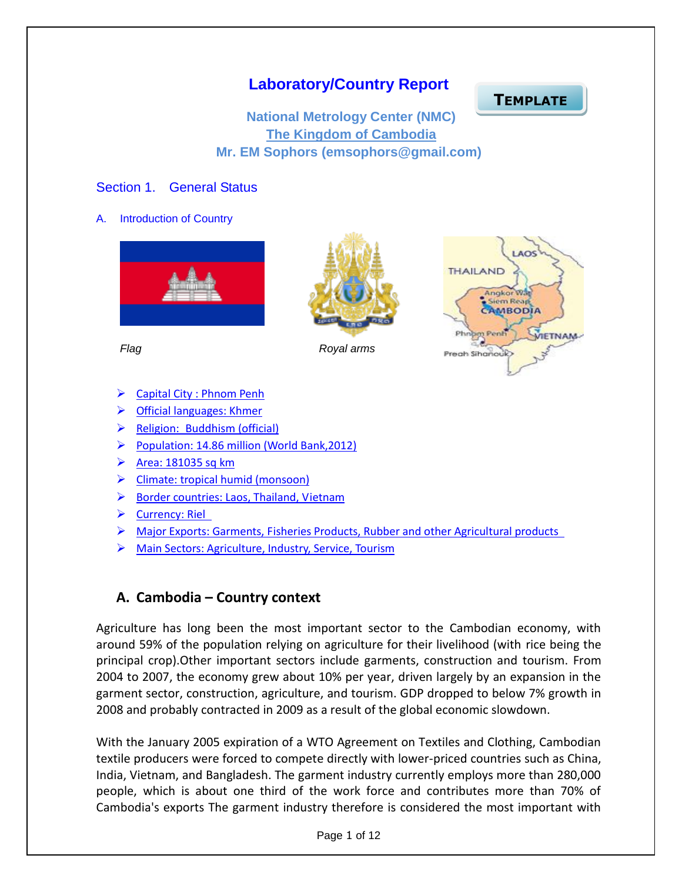## **Laboratory/Country Report**

**TEMPLATE**

**National Metrology Center (NMC) The Kingdom of Cambodia Mr. EM Sophors (emsophors@gmail.com)**

#### Section 1. General Status

A. Introduction of Country







*Flag Royal arms*

- ▶ Capital City : Phnom Penh
- Official languages: Khmer
- $\triangleright$  Religion: Buddhism (official)
- Population: 14.86 million (World Bank, 2012)
- $\triangleright$  Area: 181035 sq km
- $\triangleright$  Climate: tropical humid (monsoon)
- ▶ Border countries: Laos, Thailand, Vietnam
- $\triangleright$  Currency: Riel
- $\triangleright$  Major Exports: Garments, Fisheries Products, Rubber and other Agricultural products
- Main Sectors: Agriculture, Industry, Service, Tourism

## **A. Cambodia – Country context**

[Agriculture](http://en.wikipedia.org/wiki/Agriculture) has long been the most important sector to the Cambodian economy, with around 59% of the population relying on agriculture for their livelihood (with [rice](http://en.wikipedia.org/wiki/Rice) being the principal crop).Other important sectors include [garments,](http://en.wikipedia.org/wiki/Garments) construction and [tourism.](http://en.wikipedia.org/wiki/Tourism) From 2004 to 2007, the economy grew about 10% per year, driven largely by an expansion in the garment sector, construction, agriculture, and tourism. GDP dropped to below 7% growth in 2008 and probably contracted in 2009 as a result of the global economic slowdown.

With the January 2005 expiration of a WTO Agreement on Textiles and Clothing, Cambodian textile producers were forced to compete directly with lower-priced countries such as China, India, Vietnam, and Bangladesh. The garment industry currently employs more than 280,000 people, which is about one third of the work force and contributes more than 70% of Cambodia's exports The garment industry therefore is considered the most important with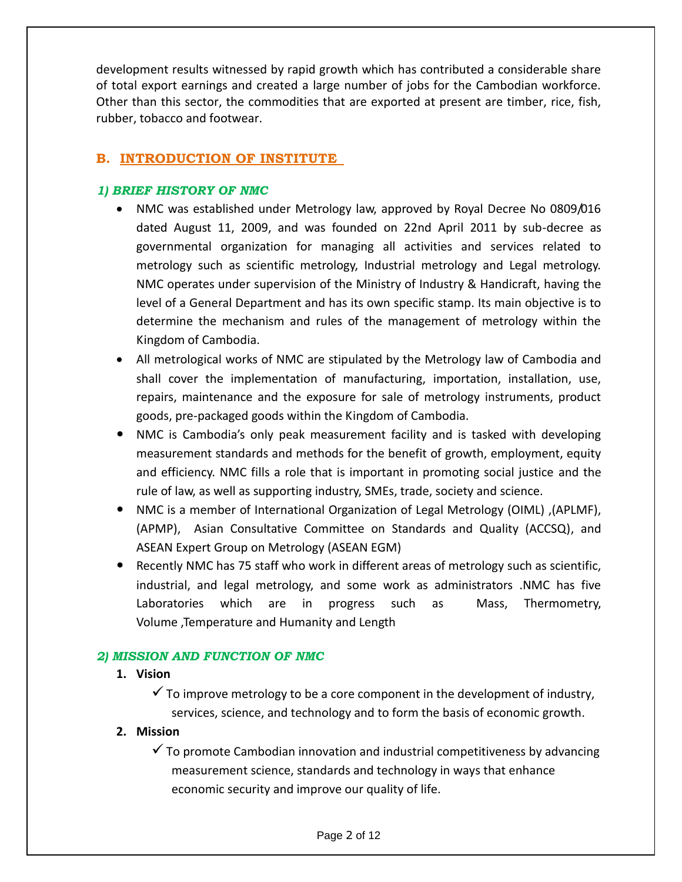development results witnessed by rapid growth which has contributed a considerable share of total export earnings and created a large number of jobs for the Cambodian workforce. Other than this sector, the commodities that are exported at present are timber, rice, fish, rubber, tobacco and footwear.

### **B. INTRODUCTION OF INSTITUTE**

#### *1) BRIEF HISTORY OF NMC*

- NMC was established under Metrology law, approved by Royal Decree No 0809/016 dated August 11, 2009, and was founded on 22nd April 2011 by sub-decree as governmental organization for managing all activities and services related to metrology such as scientific metrology, Industrial metrology and Legal metrology. NMC operates under supervision of the Ministry of Industry & Handicraft, having the level of a General Department and has its own specific stamp. Its main objective is to determine the mechanism and rules of the management of metrology within the Kingdom of Cambodia.
- All metrological works of NMC are stipulated by the Metrology law of Cambodia and shall cover the implementation of manufacturing, importation, installation, use, repairs, maintenance and the exposure for sale of metrology instruments, product goods, pre-packaged goods within the Kingdom of Cambodia.
- NMC is Cambodia's only peak measurement facility and is tasked with developing measurement standards and methods for the benefit of growth, employment, equity and efficiency. NMC fills a role that is important in promoting social justice and the rule of law, as well as supporting industry, SMEs, trade, society and science.
- NMC is a member of International Organization of Legal Metrology (OIML) ,(APLMF), (APMP), Asian Consultative Committee on Standards and Quality (ACCSQ), and ASEAN Expert Group on Metrology (ASEAN EGM)
- Recently NMC has 75 staff who work in different areas of metrology such as scientific, industrial, and legal metrology, and some work as administrators .NMC has five Laboratories which are in progress such as Mass, Thermometry, Volume ,Temperature and Humanity and Length

#### *2) MISSION AND FUNCTION OF NMC*

#### **1. Vision**

 $\checkmark$  To improve metrology to be a core component in the development of industry, services, science, and technology and to form the basis of economic growth.

#### **2. Mission**

 $\checkmark$  To promote Cambodian innovation and industrial competitiveness by advancing measurement science, standards and technology in ways that enhance economic security and improve our quality of life.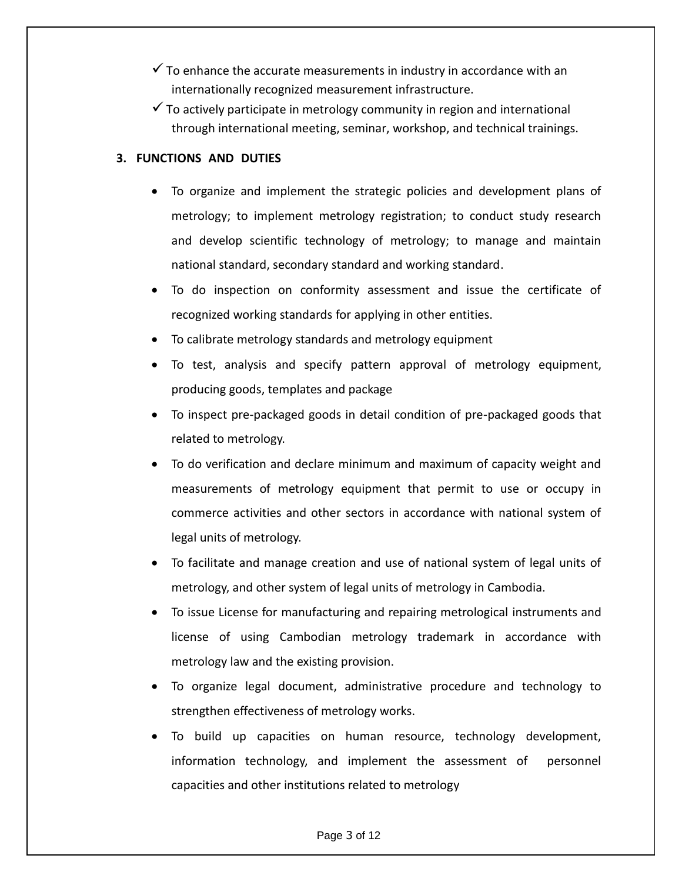- $\checkmark$  To enhance the accurate measurements in industry in accordance with an internationally recognized measurement infrastructure.
- $\checkmark$  To actively participate in metrology community in region and international through international meeting, seminar, workshop, and technical trainings.

#### **3. FUNCTIONS AND DUTIES**

- To organize and implement the strategic policies and development plans of metrology; to implement metrology registration; to conduct study research and develop scientific technology of metrology; to manage and maintain national standard, secondary standard and working standard.
- To do inspection on conformity assessment and issue the certificate of recognized working standards for applying in other entities.
- To calibrate metrology standards and metrology equipment
- To test, analysis and specify pattern approval of metrology equipment, producing goods, templates and package
- To inspect pre-packaged goods in detail condition of pre-packaged goods that related to metrology.
- To do verification and declare minimum and maximum of capacity weight and measurements of metrology equipment that permit to use or occupy in commerce activities and other sectors in accordance with national system of legal units of metrology.
- To facilitate and manage creation and use of national system of legal units of metrology, and other system of legal units of metrology in Cambodia.
- To issue License for manufacturing and repairing metrological instruments and license of using Cambodian metrology trademark in accordance with metrology law and the existing provision.
- To organize legal document, administrative procedure and technology to strengthen effectiveness of metrology works.
- To build up capacities on human resource, technology development, information technology, and implement the assessment of personnel capacities and other institutions related to metrology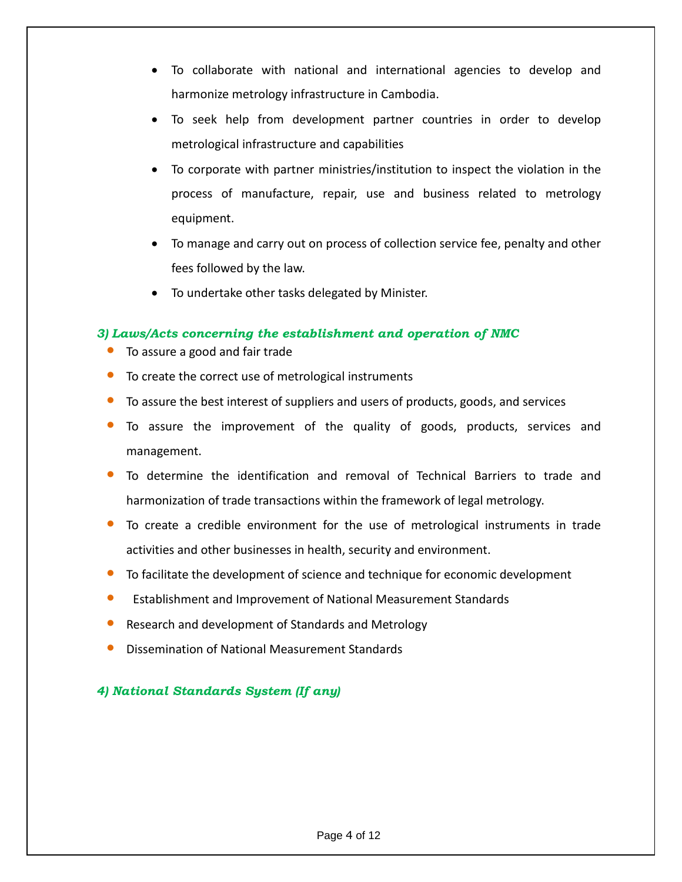- To collaborate with national and international agencies to develop and harmonize metrology infrastructure in Cambodia.
- To seek help from development partner countries in order to develop metrological infrastructure and capabilities
- To corporate with partner ministries/institution to inspect the violation in the process of manufacture, repair, use and business related to metrology equipment.
- To manage and carry out on process of collection service fee, penalty and other fees followed by the law.
- To undertake other tasks delegated by Minister.

#### *3) Laws/Acts concerning the establishment and operation of NMC*

- To assure a good and fair trade
- To create the correct use of metrological instruments
- To assure the best interest of suppliers and users of products, goods, and services
- To assure the improvement of the quality of goods, products, services and management.
- To determine the identification and removal of Technical Barriers to trade and harmonization of trade transactions within the framework of legal metrology.
- To create a credible environment for the use of metrological instruments in trade activities and other businesses in health, security and environment.
- To facilitate the development of science and technique for economic development
- Establishment and Improvement of National Measurement Standards
- Research and development of Standards and Metrology
- Dissemination of National Measurement Standards

## *4) National Standards System (If any)*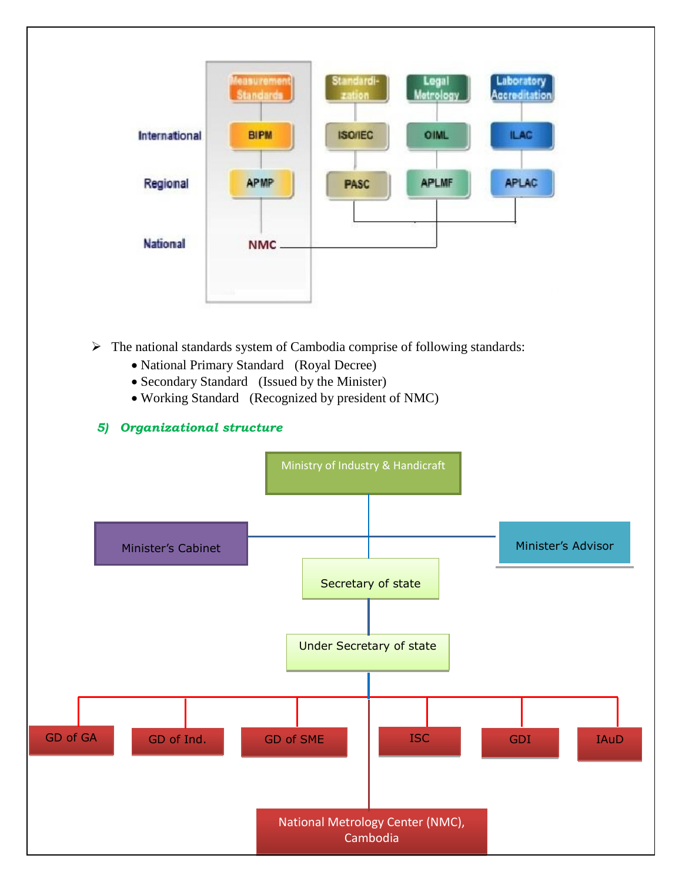

- $\triangleright$  The national standards system of Cambodia comprise of following standards:
	- National Primary Standard (Royal Decree)
	- Secondary Standard (Issued by the Minister)
	- Working Standard (Recognized by president of NMC)

#### *5) Organizational structure*

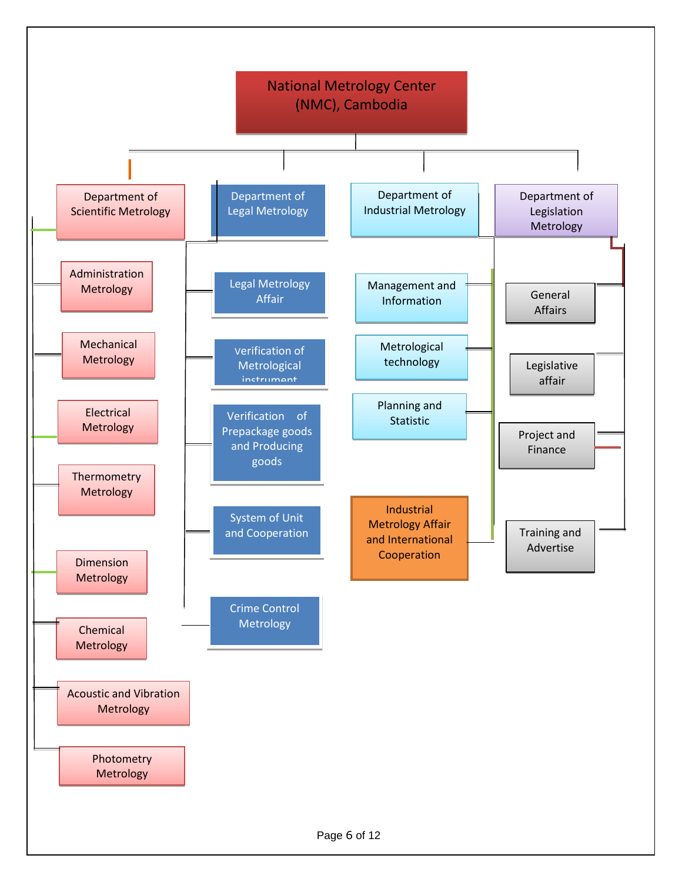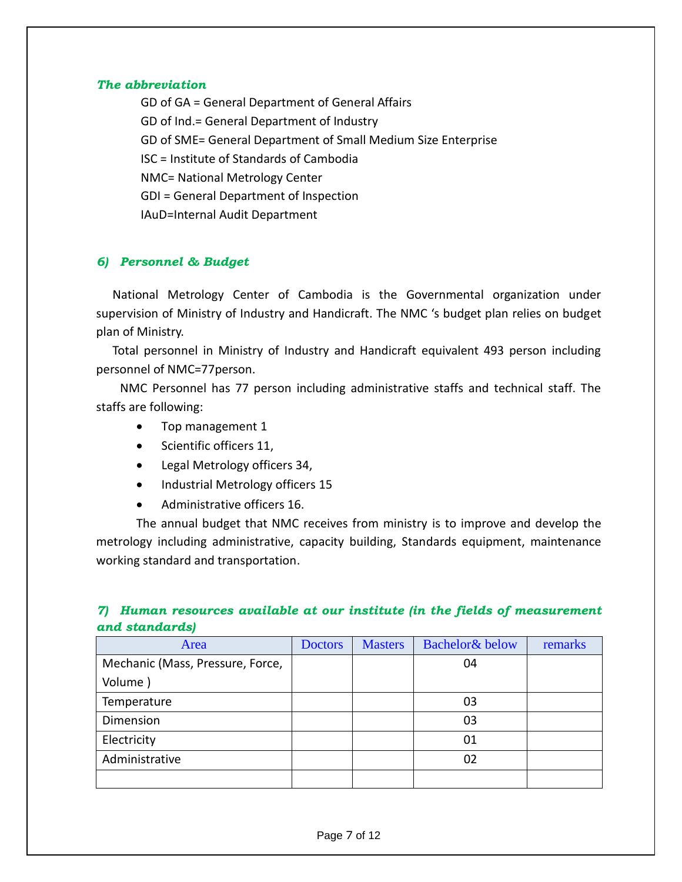#### *The abbreviation*

GD of GA = General Department of General Affairs GD of Ind.= General Department of Industry GD of SME= General Department of Small Medium Size Enterprise ISC = Institute of Standards of Cambodia NMC= National Metrology Center GDI = General Department of Inspection IAuD=Internal Audit Department

#### *6) Personnel & Budget*

National Metrology Center of Cambodia is the Governmental organization under supervision of Ministry of Industry and Handicraft. The NMC 's budget plan relies on budget plan of Ministry.

Total personnel in Ministry of Industry and Handicraft equivalent 493 person including personnel of NMC=77person.

NMC Personnel has 77 person including administrative staffs and technical staff. The staffs are following:

- Top management 1
- Scientific officers 11,
- Legal Metrology officers 34,
- Industrial Metrology officers 15
- Administrative officers 16.

The annual budget that NMC receives from ministry is to improve and develop the metrology including administrative, capacity building, Standards equipment, maintenance working standard and transportation.

#### *7) Human resources available at our institute (in the fields of measurement and standards)*

| Area                             | <b>Doctors</b> | <b>Masters</b> | Bachelor& below | remarks |
|----------------------------------|----------------|----------------|-----------------|---------|
| Mechanic (Mass, Pressure, Force, |                |                | 04              |         |
| Volume)                          |                |                |                 |         |
| Temperature                      |                |                | 03              |         |
| Dimension                        |                |                | 03              |         |
| Electricity                      |                |                | 01              |         |
| Administrative                   |                |                | 02              |         |
|                                  |                |                |                 |         |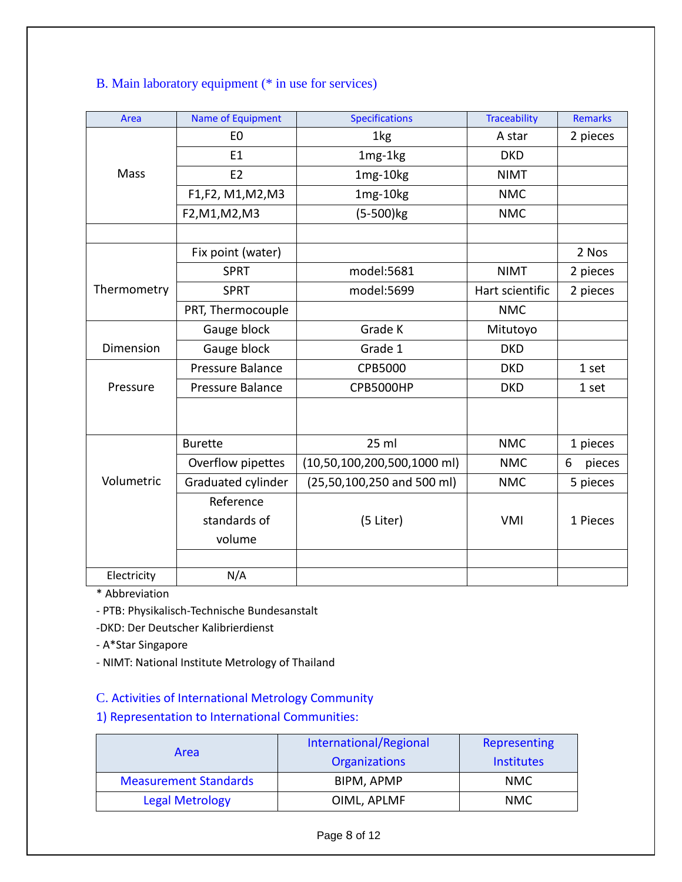## B. Main laboratory equipment (\* in use for services)

| Area        | Name of Equipment  | <b>Specifications</b>         | <b>Traceability</b> | <b>Remarks</b> |
|-------------|--------------------|-------------------------------|---------------------|----------------|
|             | E <sub>0</sub>     | 1kg                           | A star              | 2 pieces       |
|             | E1                 | 1mg-1kg                       | <b>DKD</b>          |                |
| Mass        | E <sub>2</sub>     | 1mg-10kg                      | <b>NIMT</b>         |                |
|             | F1,F2, M1,M2,M3    | 1mg-10kg                      | <b>NMC</b>          |                |
|             | F2, M1, M2, M3     | $(5 - 500)$ kg                | <b>NMC</b>          |                |
|             |                    |                               |                     |                |
|             | Fix point (water)  |                               |                     | 2 Nos          |
|             | <b>SPRT</b>        | model:5681                    | <b>NIMT</b>         | 2 pieces       |
| Thermometry | <b>SPRT</b>        | model:5699                    | Hart scientific     | 2 pieces       |
|             | PRT, Thermocouple  |                               | <b>NMC</b>          |                |
|             | Gauge block        | Grade K                       | Mitutoyo            |                |
| Dimension   | Gauge block        | Grade 1                       | <b>DKD</b>          |                |
|             | Pressure Balance   | <b>CPB5000</b>                | <b>DKD</b>          | 1 set          |
| Pressure    | Pressure Balance   | <b>CPB5000HP</b>              | <b>DKD</b>          | 1 set          |
|             |                    |                               |                     |                |
|             |                    |                               |                     |                |
|             | <b>Burette</b>     | $25$ ml                       | <b>NMC</b>          | 1 pieces       |
|             | Overflow pipettes  | $(10,50,100,200,500,1000$ ml) | <b>NMC</b>          | pieces<br>6    |
| Volumetric  | Graduated cylinder | $(25,50,100,250$ and 500 ml)  | <b>NMC</b>          | 5 pieces       |
|             | Reference          |                               |                     |                |
|             | standards of       | (5 Liter)                     | <b>VMI</b>          | 1 Pieces       |
|             | volume             |                               |                     |                |
|             |                    |                               |                     |                |
| Electricity | N/A                |                               |                     |                |

\* Abbreviation

- PTB: Physikalisch-Technische Bundesanstalt

-DKD: Der Deutscher Kalibrierdienst

- A\*Star Singapore

- NIMT: National Institute Metrology of Thailand

### C. Activities of International Metrology Community

1) Representation to International Communities:

|                              | International/Regional | Representing      |  |
|------------------------------|------------------------|-------------------|--|
| Area                         | <b>Organizations</b>   | <b>Institutes</b> |  |
| <b>Measurement Standards</b> | BIPM, APMP             | <b>NMC</b>        |  |
| <b>Legal Metrology</b>       | OIML, APLMF            | <b>NMC</b>        |  |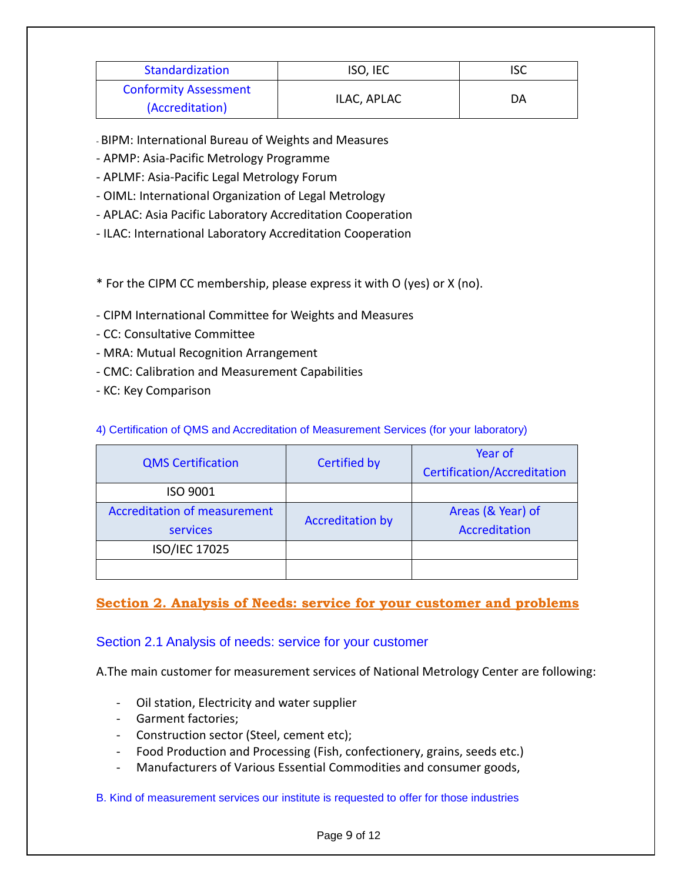| Standardization              | ISO, IEC    | ISC |  |
|------------------------------|-------------|-----|--|
| <b>Conformity Assessment</b> | ILAC, APLAC | DA  |  |
| (Accreditation)              |             |     |  |

- BIPM: International Bureau of Weights and Measures

- APMP: Asia-Pacific Metrology Programme

- APLMF: Asia-Pacific Legal Metrology Forum
- OIML: International Organization of Legal Metrology
- APLAC: Asia Pacific Laboratory Accreditation Cooperation
- ILAC: International Laboratory Accreditation Cooperation
- \* For the CIPM CC membership, please express it with O (yes) or X (no).
- CIPM International Committee for Weights and Measures
- CC: Consultative Committee
- MRA: Mutual Recognition Arrangement
- CMC: Calibration and Measurement Capabilities
- KC: Key Comparison

|  |  | 4) Certification of QMS and Accreditation of Measurement Services (for your laboratory) |  |  |
|--|--|-----------------------------------------------------------------------------------------|--|--|
|  |  |                                                                                         |  |  |

| <b>QMS Certification</b>            | <b>Certified by</b>     | Year of<br><b>Certification/Accreditation</b> |
|-------------------------------------|-------------------------|-----------------------------------------------|
| ISO 9001                            |                         |                                               |
| <b>Accreditation of measurement</b> | <b>Accreditation by</b> | Areas (& Year) of                             |
| services                            |                         | Accreditation                                 |
| ISO/IEC 17025                       |                         |                                               |
|                                     |                         |                                               |

## **Section 2. Analysis of Needs: service for your customer and problems**

#### Section 2.1 Analysis of needs: service for your customer

A.The main customer for measurement services of National Metrology Center are following:

- Oil station, Electricity and water supplier
- Garment factories;
- Construction sector (Steel, cement etc);
- Food Production and Processing (Fish, confectionery, grains, seeds etc.)
- Manufacturers of Various Essential Commodities and consumer goods,

#### B. Kind of measurement services our institute is requested to offer for those industries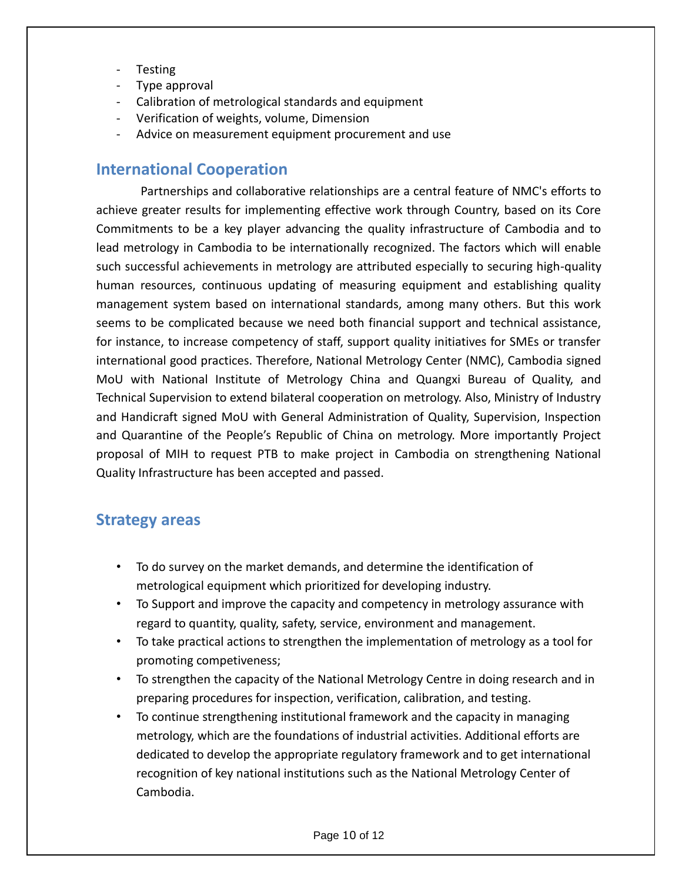- **Testing**
- Type approval
- Calibration of metrological standards and equipment
- Verification of weights, volume, Dimension
- Advice on measurement equipment procurement and use

## **International Cooperation**

Partnerships and collaborative relationships are a central feature of NMC's efforts to achieve greater results for implementing effective work through Country, based on its Core Commitments to be a key player advancing the quality infrastructure of Cambodia and to lead metrology in Cambodia to be internationally recognized. The factors which will enable such successful achievements in metrology are attributed especially to securing high-quality human resources, continuous updating of measuring equipment and establishing quality management system based on international standards, among many others. But this work seems to be complicated because we need both financial support and technical assistance, for instance, to increase competency of staff, support quality initiatives for SMEs or transfer international good practices. Therefore, National Metrology Center (NMC), Cambodia signed MoU with National Institute of Metrology China and Quangxi Bureau of Quality, and Technical Supervision to extend bilateral cooperation on metrology. Also, Ministry of Industry and Handicraft signed MoU with General Administration of Quality, Supervision, Inspection and Quarantine of the People's Republic of China on metrology. More importantly Project proposal of MIH to request PTB to make project in Cambodia on strengthening National Quality Infrastructure has been accepted and passed.

## **Strategy areas**

- To do survey on the market demands, and determine the identification of metrological equipment which prioritized for developing industry.
- To Support and improve the capacity and competency in metrology assurance with regard to quantity, quality, safety, service, environment and management.
- To take practical actions to strengthen the implementation of metrology as a tool for promoting competiveness;
- To strengthen the capacity of the National Metrology Centre in doing research and in preparing procedures for inspection, verification, calibration, and testing.
- To continue strengthening institutional framework and the capacity in managing metrology, which are the foundations of industrial activities. Additional efforts are dedicated to develop the appropriate regulatory framework and to get international recognition of key national institutions such as the National Metrology Center of Cambodia.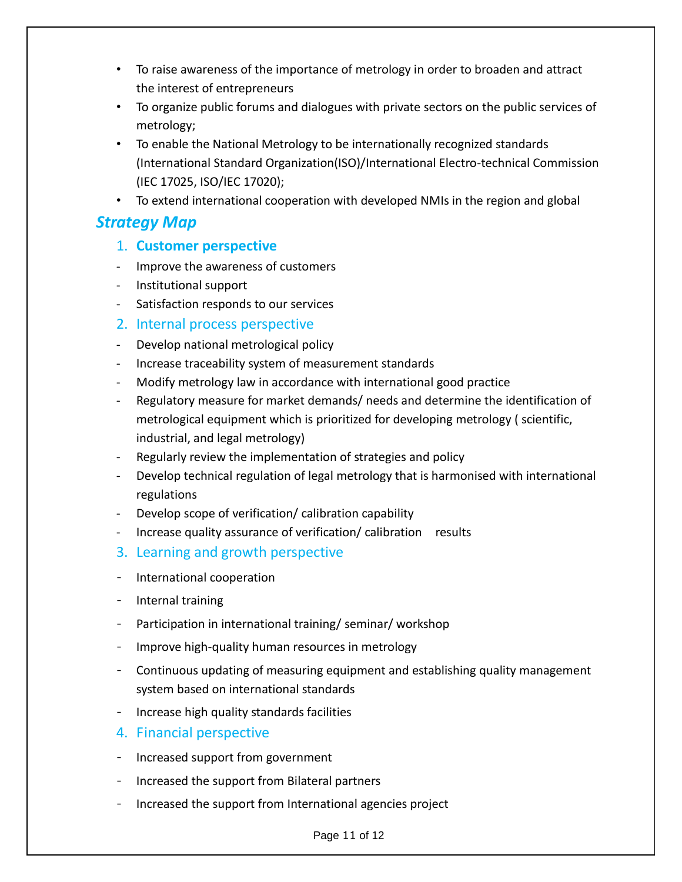- To raise awareness of the importance of metrology in order to broaden and attract the interest of entrepreneurs
- To organize public forums and dialogues with private sectors on the public services of metrology;
- To enable the National Metrology to be internationally recognized standards (International Standard Organization(ISO)/International Electro-technical Commission (IEC 17025, ISO/IEC 17020);
- To extend international cooperation with developed NMIs in the region and global

## *Strategy Map*

- 1. **Customer perspective**
- Improve the awareness of customers
- Institutional support
- Satisfaction responds to our services
- 2. Internal process perspective
- Develop national metrological policy
- Increase traceability system of measurement standards
- Modify metrology law in accordance with international good practice
- Regulatory measure for market demands/ needs and determine the identification of metrological equipment which is prioritized for developing metrology ( scientific, industrial, and legal metrology)
- Regularly review the implementation of strategies and policy
- Develop technical regulation of legal metrology that is harmonised with international regulations
- Develop scope of verification/ calibration capability
- Increase quality assurance of verification/ calibration results
- 3. Learning and growth perspective
- International cooperation
- Internal training
- Participation in international training/ seminar/ workshop
- Improve high-quality human resources in metrology
- Continuous updating of measuring equipment and establishing quality management system based on international standards
- Increase high quality standards facilities
- 4. Financial perspective
- Increased support from government
- Increased the support from Bilateral partners
- Increased the support from International agencies project